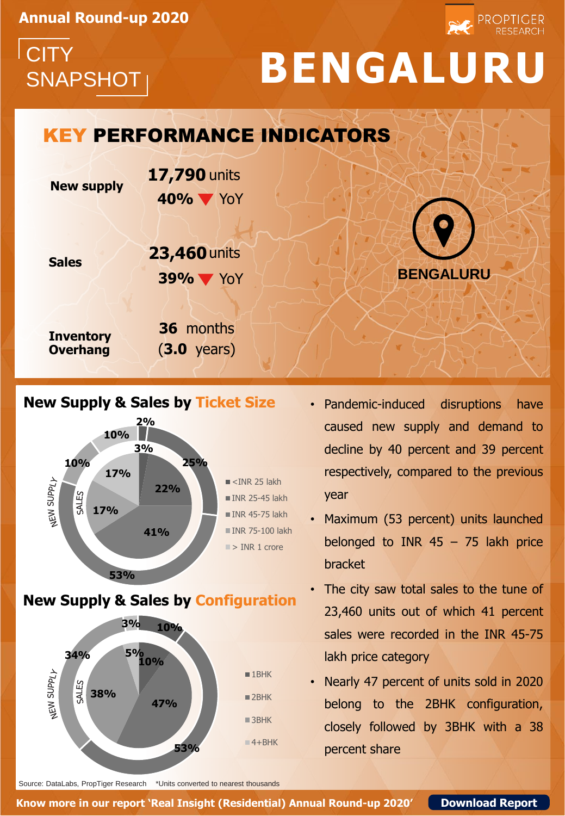**Annual Round-up 2020**

**CITY** 

## SNAPSHOT **BENGALURU**

PROPTIGER

## **BENGALURU New supply Sales 40%** YoY KEY PERFORMANCE INDICATORS **17,790** units **39%** YoY **23,460** units

**Inventory Overhang**

**36** months (**3.0** years)





**New Supply & Sales by Configuration**



- Pandemic-induced disruptions have caused new supply and demand to decline by 40 percent and 39 percent respectively, compared to the previous year
- Maximum (53 percent) units launched belonged to INR 45 – 75 lakh price bracket
- The city saw total sales to the tune of 23,460 units out of which 41 percent sales were recorded in the INR 45-75 lakh price category
- Nearly 47 percent of units sold in 2020 belong to the 2BHK configuration, closely followed by 3BHK with a 38 percent share

Source: DataLabs, PropTiger Research \*Units converted to nearest thousands

**Know more in our report 'Real Insight (Residential) Annual Round-up 2020' [Download Report](http://bit.ly/39jbBE1)**